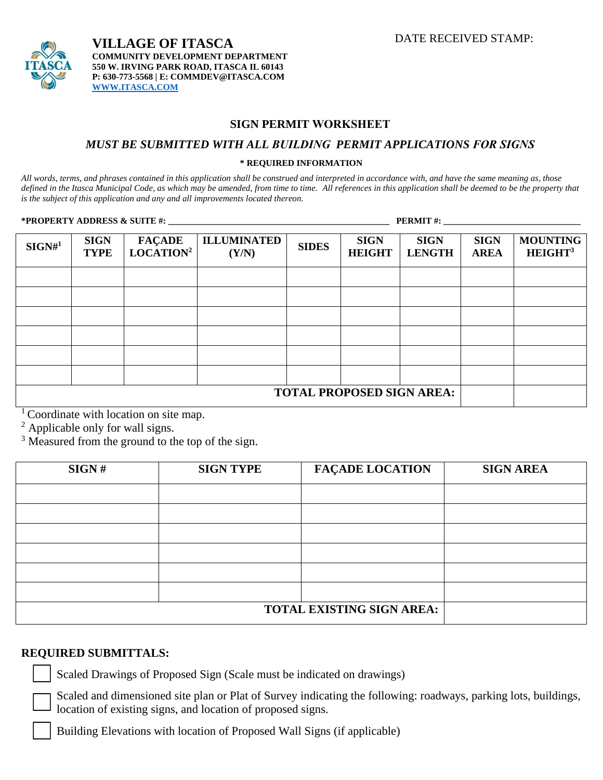

## **SIGN PERMIT WORKSHEET**

### *MUST BE SUBMITTED WITH ALL BUILDING PERMIT APPLICATIONS FOR SIGNS*

#### **\* REQUIRED INFORMATION**

*All words, terms, and phrases contained in this application shall be construed and interpreted in accordance with, and have the same meaning as, those defined in the Itasca Municipal Code, as which may be amended, from time to time. All references in this application shall be deemed to be the property that is the subject of this application and any and all improvements located thereon.*

**\*PROPERTY ADDRESS & SUITE #: \_\_\_\_\_\_\_\_\_\_\_\_\_\_\_\_\_\_\_\_\_\_\_\_\_\_\_\_\_\_\_\_\_\_\_\_\_\_\_\_\_\_\_\_\_\_\_\_\_\_ PERMIT #: \_\_\_\_\_\_\_\_\_\_\_\_\_\_\_\_\_\_\_\_\_\_\_\_\_\_\_\_\_\_\_**

| $SIGN#^1$                        | <b>SIGN</b><br><b>TYPE</b> | <b>FAÇADE</b><br>LOCATION <sup>2</sup> | <b>ILLUMINATED</b><br>(Y/N) | <b>SIDES</b> | <b>SIGN</b><br><b>HEIGHT</b> | <b>SIGN</b><br><b>LENGTH</b> | <b>SIGN</b><br><b>AREA</b> | <b>MOUNTING</b><br>HEIGHT <sup>3</sup> |
|----------------------------------|----------------------------|----------------------------------------|-----------------------------|--------------|------------------------------|------------------------------|----------------------------|----------------------------------------|
|                                  |                            |                                        |                             |              |                              |                              |                            |                                        |
|                                  |                            |                                        |                             |              |                              |                              |                            |                                        |
|                                  |                            |                                        |                             |              |                              |                              |                            |                                        |
|                                  |                            |                                        |                             |              |                              |                              |                            |                                        |
|                                  |                            |                                        |                             |              |                              |                              |                            |                                        |
|                                  |                            |                                        |                             |              |                              |                              |                            |                                        |
| <b>TOTAL PROPOSED SIGN AREA:</b> |                            |                                        |                             |              |                              |                              |                            |                                        |

 $1$  Coordinate with location on site map.

<sup>2</sup> Applicable only for wall signs.

 $3$  Measured from the ground to the top of the sign.

| SIGN# | <b>SIGN TYPE</b>                 | <b>FAÇADE LOCATION</b> | <b>SIGN AREA</b> |
|-------|----------------------------------|------------------------|------------------|
|       |                                  |                        |                  |
|       |                                  |                        |                  |
|       |                                  |                        |                  |
|       |                                  |                        |                  |
|       |                                  |                        |                  |
|       |                                  |                        |                  |
|       | <b>TOTAL EXISTING SIGN AREA:</b> |                        |                  |

## **REQUIRED SUBMITTALS:**

Scaled Drawings of Proposed Sign (Scale must be indicated on drawings)

Scaled and dimensioned site plan or Plat of Survey indicating the following: roadways, parking lots, buildings, location of existing signs, and location of proposed signs.

Building Elevations with location of Proposed Wall Signs (if applicable)